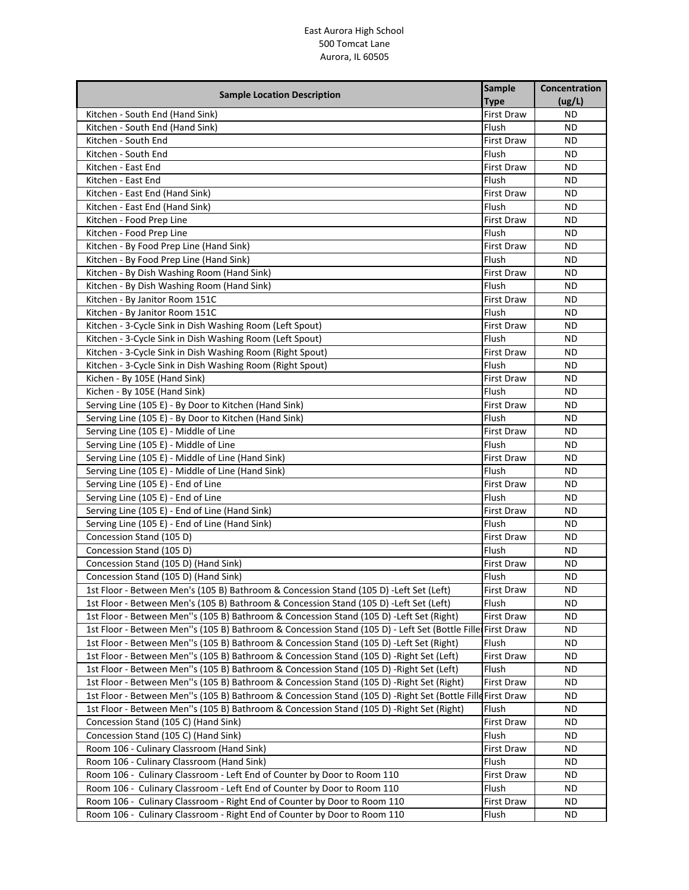| <b>Sample Location Description</b>                                                                        | <b>Sample</b>     | Concentration |
|-----------------------------------------------------------------------------------------------------------|-------------------|---------------|
|                                                                                                           | <b>Type</b>       | (ug/L)        |
| Kitchen - South End (Hand Sink)                                                                           | <b>First Draw</b> | <b>ND</b>     |
| Kitchen - South End (Hand Sink)                                                                           | Flush             | ND.           |
| Kitchen - South End                                                                                       | <b>First Draw</b> | ND.           |
| Kitchen - South End                                                                                       | Flush             | ND.           |
| Kitchen - East End                                                                                        | <b>First Draw</b> | ND.           |
| Kitchen - East End                                                                                        | Flush             | ND.           |
| Kitchen - East End (Hand Sink)                                                                            | <b>First Draw</b> | <b>ND</b>     |
| Kitchen - East End (Hand Sink)                                                                            | Flush             | ND.           |
| Kitchen - Food Prep Line                                                                                  | <b>First Draw</b> | <b>ND</b>     |
| Kitchen - Food Prep Line                                                                                  | Flush             | ND.           |
| Kitchen - By Food Prep Line (Hand Sink)                                                                   | <b>First Draw</b> | <b>ND</b>     |
| Kitchen - By Food Prep Line (Hand Sink)                                                                   | Flush             | ND.           |
| Kitchen - By Dish Washing Room (Hand Sink)                                                                | First Draw        | ND.           |
| Kitchen - By Dish Washing Room (Hand Sink)                                                                | Flush             | ND.           |
| Kitchen - By Janitor Room 151C                                                                            | <b>First Draw</b> | <b>ND</b>     |
| Kitchen - By Janitor Room 151C                                                                            | Flush             | ND.           |
| Kitchen - 3-Cycle Sink in Dish Washing Room (Left Spout)                                                  | First Draw        | ND.           |
| Kitchen - 3-Cycle Sink in Dish Washing Room (Left Spout)                                                  | Flush             | ND.           |
| Kitchen - 3-Cycle Sink in Dish Washing Room (Right Spout)                                                 | <b>First Draw</b> | ND.           |
| Kitchen - 3-Cycle Sink in Dish Washing Room (Right Spout)                                                 | Flush             | <b>ND</b>     |
| Kichen - By 105E (Hand Sink)                                                                              | <b>First Draw</b> | <b>ND</b>     |
| Kichen - By 105E (Hand Sink)                                                                              | Flush             | ND            |
| Serving Line (105 E) - By Door to Kitchen (Hand Sink)                                                     | <b>First Draw</b> | ND.           |
| Serving Line (105 E) - By Door to Kitchen (Hand Sink)                                                     | Flush             | ND.           |
| Serving Line (105 E) - Middle of Line                                                                     | <b>First Draw</b> | ND.           |
| Serving Line (105 E) - Middle of Line                                                                     | Flush             | ND.           |
| Serving Line (105 E) - Middle of Line (Hand Sink)                                                         | <b>First Draw</b> | ND.           |
| Serving Line (105 E) - Middle of Line (Hand Sink)                                                         | Flush             | ND            |
| Serving Line (105 E) - End of Line                                                                        | <b>First Draw</b> | ND.           |
| Serving Line (105 E) - End of Line                                                                        | Flush             | ND.           |
| Serving Line (105 E) - End of Line (Hand Sink)                                                            | <b>First Draw</b> | ND.           |
| Serving Line (105 E) - End of Line (Hand Sink)                                                            | Flush             | <b>ND</b>     |
| Concession Stand (105 D)                                                                                  | First Draw        | ND.           |
| Concession Stand (105 D)                                                                                  | Flush             | <b>ND</b>     |
| Concession Stand (105 D) (Hand Sink)                                                                      | <b>First Draw</b> | ND.           |
| Concession Stand (105 D) (Hand Sink)                                                                      | Flush             | ND.           |
| 1st Floor - Between Men's (105 B) Bathroom & Concession Stand (105 D) - Left Set (Left)                   | First Draw        | ND            |
| 1st Floor - Between Men's (105 B) Bathroom & Concession Stand (105 D) - Left Set (Left)                   | Flush             | ND            |
| 1st Floor - Between Men"s (105 B) Bathroom & Concession Stand (105 D) - Left Set (Right)                  | First Draw        | ND            |
| 1st Floor - Between Men"s (105 B) Bathroom & Concession Stand (105 D) - Left Set (Bottle Fille First Draw |                   | ND            |
| 1st Floor - Between Men"s (105 B) Bathroom & Concession Stand (105 D) - Left Set (Right)                  | Flush             | ND            |
| 1st Floor - Between Men"s (105 B) Bathroom & Concession Stand (105 D) - Right Set (Left)                  | <b>First Draw</b> | ND            |
| 1st Floor - Between Men"s (105 B) Bathroom & Concession Stand (105 D) - Right Set (Left)                  | Flush             | ND            |
| 1st Floor - Between Men"s (105 B) Bathroom & Concession Stand (105 D) - Right Set (Right)                 | <b>First Draw</b> | ND            |
| 1st Floor - Between Men"s (105 B) Bathroom & Concession Stand (105 D) -Right Set (Bottle Fille First Draw |                   | ND            |
| 1st Floor - Between Men"s (105 B) Bathroom & Concession Stand (105 D) - Right Set (Right)                 | Flush             | ND            |
| Concession Stand (105 C) (Hand Sink)                                                                      | <b>First Draw</b> | ND            |
| Concession Stand (105 C) (Hand Sink)                                                                      | Flush             | ND            |
| Room 106 - Culinary Classroom (Hand Sink)                                                                 | First Draw        | ND            |
| Room 106 - Culinary Classroom (Hand Sink)                                                                 | Flush             | ND            |
| Room 106 - Culinary Classroom - Left End of Counter by Door to Room 110                                   | First Draw        | ND            |
| Room 106 - Culinary Classroom - Left End of Counter by Door to Room 110                                   | Flush             | ND            |
| Room 106 - Culinary Classroom - Right End of Counter by Door to Room 110                                  | First Draw        | ND.           |
| Room 106 - Culinary Classroom - Right End of Counter by Door to Room 110                                  | Flush             | ND.           |
|                                                                                                           |                   |               |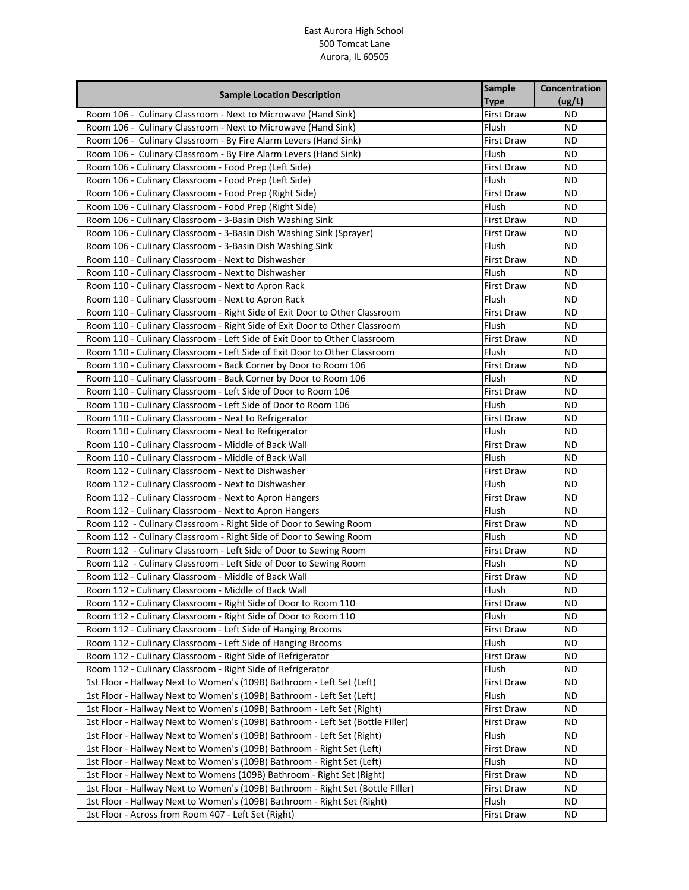| <b>Sample Location Description</b>                                              | <b>Sample</b>     | Concentration |
|---------------------------------------------------------------------------------|-------------------|---------------|
|                                                                                 | <b>Type</b>       | (ug/L)        |
| Room 106 - Culinary Classroom - Next to Microwave (Hand Sink)                   | <b>First Draw</b> | <b>ND</b>     |
| Room 106 - Culinary Classroom - Next to Microwave (Hand Sink)                   | Flush             | <b>ND</b>     |
| Room 106 - Culinary Classroom - By Fire Alarm Levers (Hand Sink)                | <b>First Draw</b> | <b>ND</b>     |
| Room 106 - Culinary Classroom - By Fire Alarm Levers (Hand Sink)                | Flush             | ND            |
| Room 106 - Culinary Classroom - Food Prep (Left Side)                           | <b>First Draw</b> | ND            |
| Room 106 - Culinary Classroom - Food Prep (Left Side)                           | Flush             | ND            |
| Room 106 - Culinary Classroom - Food Prep (Right Side)                          | <b>First Draw</b> | ND            |
| Room 106 - Culinary Classroom - Food Prep (Right Side)                          | Flush             | ND            |
| Room 106 - Culinary Classroom - 3-Basin Dish Washing Sink                       | <b>First Draw</b> | <b>ND</b>     |
| Room 106 - Culinary Classroom - 3-Basin Dish Washing Sink (Sprayer)             | <b>First Draw</b> | <b>ND</b>     |
| Room 106 - Culinary Classroom - 3-Basin Dish Washing Sink                       | Flush             | <b>ND</b>     |
| Room 110 - Culinary Classroom - Next to Dishwasher                              | <b>First Draw</b> | <b>ND</b>     |
| Room 110 - Culinary Classroom - Next to Dishwasher                              | Flush             | ND            |
| Room 110 - Culinary Classroom - Next to Apron Rack                              | <b>First Draw</b> | ND            |
| Room 110 - Culinary Classroom - Next to Apron Rack                              | Flush             | <b>ND</b>     |
| Room 110 - Culinary Classroom - Right Side of Exit Door to Other Classroom      | <b>First Draw</b> | ND            |
| Room 110 - Culinary Classroom - Right Side of Exit Door to Other Classroom      | Flush             | ND            |
| Room 110 - Culinary Classroom - Left Side of Exit Door to Other Classroom       | <b>First Draw</b> | ND            |
| Room 110 - Culinary Classroom - Left Side of Exit Door to Other Classroom       | Flush             | <b>ND</b>     |
| Room 110 - Culinary Classroom - Back Corner by Door to Room 106                 | <b>First Draw</b> | <b>ND</b>     |
| Room 110 - Culinary Classroom - Back Corner by Door to Room 106                 | Flush             | <b>ND</b>     |
| Room 110 - Culinary Classroom - Left Side of Door to Room 106                   | <b>First Draw</b> | <b>ND</b>     |
| Room 110 - Culinary Classroom - Left Side of Door to Room 106                   | Flush             | ND            |
| Room 110 - Culinary Classroom - Next to Refrigerator                            | <b>First Draw</b> | <b>ND</b>     |
| Room 110 - Culinary Classroom - Next to Refrigerator                            | Flush             | <b>ND</b>     |
| Room 110 - Culinary Classroom - Middle of Back Wall                             | <b>First Draw</b> | ND            |
| Room 110 - Culinary Classroom - Middle of Back Wall                             | Flush             | <b>ND</b>     |
| Room 112 - Culinary Classroom - Next to Dishwasher                              | <b>First Draw</b> | <b>ND</b>     |
| Room 112 - Culinary Classroom - Next to Dishwasher                              | Flush             | ND            |
| Room 112 - Culinary Classroom - Next to Apron Hangers                           | <b>First Draw</b> | ND            |
| Room 112 - Culinary Classroom - Next to Apron Hangers                           | Flush             | ND            |
| Room 112 - Culinary Classroom - Right Side of Door to Sewing Room               | <b>First Draw</b> | <b>ND</b>     |
| Room 112 - Culinary Classroom - Right Side of Door to Sewing Room               | Flush             | ND            |
| Room 112 - Culinary Classroom - Left Side of Door to Sewing Room                | <b>First Draw</b> | <b>ND</b>     |
| Room 112 - Culinary Classroom - Left Side of Door to Sewing Room                | Flush             | ND            |
| Room 112 - Culinary Classroom - Middle of Back Wall                             | <b>First Draw</b> | ΝD            |
| Room 112 - Culinary Classroom - Middle of Back Wall                             | Flush             | ΝD            |
| Room 112 - Culinary Classroom - Right Side of Door to Room 110                  | First Draw        | ΝD            |
| Room 112 - Culinary Classroom - Right Side of Door to Room 110                  | Flush             | ND.           |
| Room 112 - Culinary Classroom - Left Side of Hanging Brooms                     | <b>First Draw</b> | ND            |
| Room 112 - Culinary Classroom - Left Side of Hanging Brooms                     | Flush             | ND.           |
| Room 112 - Culinary Classroom - Right Side of Refrigerator                      | <b>First Draw</b> | ND.           |
| Room 112 - Culinary Classroom - Right Side of Refrigerator                      | Flush             | ND            |
| 1st Floor - Hallway Next to Women's (109B) Bathroom - Left Set (Left)           | First Draw        | ND            |
| 1st Floor - Hallway Next to Women's (109B) Bathroom - Left Set (Left)           | Flush             | ND            |
| 1st Floor - Hallway Next to Women's (109B) Bathroom - Left Set (Right)          | <b>First Draw</b> | ND            |
| 1st Floor - Hallway Next to Women's (109B) Bathroom - Left Set (Bottle Filler)  | <b>First Draw</b> | ND            |
| 1st Floor - Hallway Next to Women's (109B) Bathroom - Left Set (Right)          | Flush             | ND            |
| 1st Floor - Hallway Next to Women's (109B) Bathroom - Right Set (Left)          | <b>First Draw</b> | <b>ND</b>     |
| 1st Floor - Hallway Next to Women's (109B) Bathroom - Right Set (Left)          | Flush             | ND            |
| 1st Floor - Hallway Next to Womens (109B) Bathroom - Right Set (Right)          | First Draw        | ΝD            |
| 1st Floor - Hallway Next to Women's (109B) Bathroom - Right Set (Bottle Filler) | <b>First Draw</b> | ND            |
| 1st Floor - Hallway Next to Women's (109B) Bathroom - Right Set (Right)         | Flush             | ND.           |
| 1st Floor - Across from Room 407 - Left Set (Right)                             | First Draw        | ND            |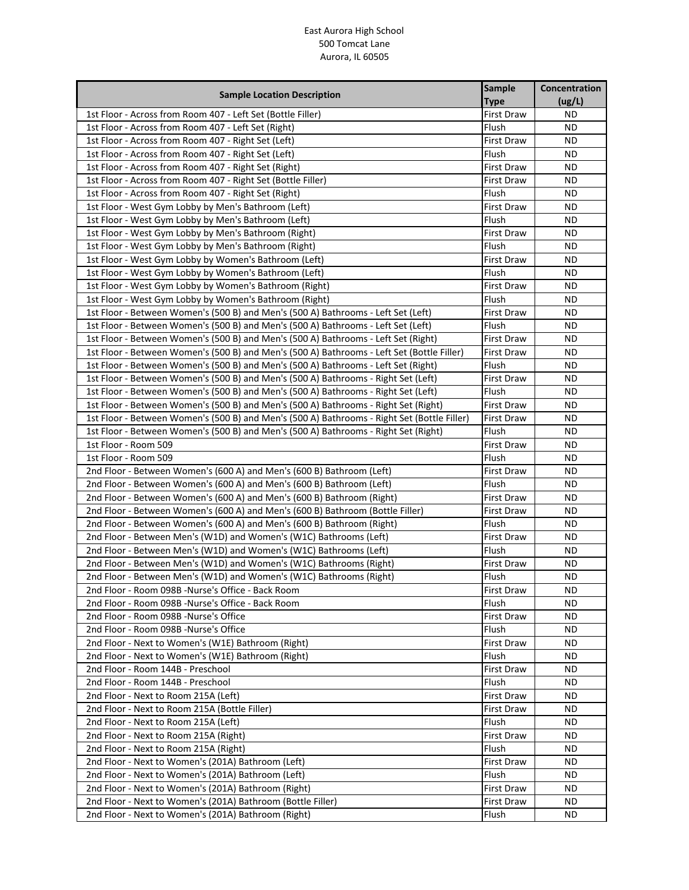| <b>Sample Location Description</b>                                                          | <b>Sample</b>     | Concentration |
|---------------------------------------------------------------------------------------------|-------------------|---------------|
|                                                                                             | <b>Type</b>       | (ug/L)        |
| 1st Floor - Across from Room 407 - Left Set (Bottle Filler)                                 | First Draw        | <b>ND</b>     |
| 1st Floor - Across from Room 407 - Left Set (Right)                                         | Flush             | ND.           |
| 1st Floor - Across from Room 407 - Right Set (Left)                                         | First Draw        | ND            |
| 1st Floor - Across from Room 407 - Right Set (Left)                                         | Flush             | ND            |
| 1st Floor - Across from Room 407 - Right Set (Right)                                        | <b>First Draw</b> | ΝD            |
| 1st Floor - Across from Room 407 - Right Set (Bottle Filler)                                | First Draw        | ΝD            |
| 1st Floor - Across from Room 407 - Right Set (Right)                                        | Flush             | ND.           |
| 1st Floor - West Gym Lobby by Men's Bathroom (Left)                                         | <b>First Draw</b> | ND.           |
| 1st Floor - West Gym Lobby by Men's Bathroom (Left)                                         | Flush             | ND.           |
| 1st Floor - West Gym Lobby by Men's Bathroom (Right)                                        | <b>First Draw</b> | ND            |
| 1st Floor - West Gym Lobby by Men's Bathroom (Right)                                        | Flush             | ND.           |
| 1st Floor - West Gym Lobby by Women's Bathroom (Left)                                       | First Draw        | <b>ND</b>     |
| 1st Floor - West Gym Lobby by Women's Bathroom (Left)                                       | Flush             | ΝD            |
| 1st Floor - West Gym Lobby by Women's Bathroom (Right)                                      | First Draw        | ND.           |
| 1st Floor - West Gym Lobby by Women's Bathroom (Right)                                      | Flush             | ND.           |
| 1st Floor - Between Women's (500 B) and Men's (500 A) Bathrooms - Left Set (Left)           | First Draw        | ND            |
| 1st Floor - Between Women's (500 B) and Men's (500 A) Bathrooms - Left Set (Left)           | Flush             | ND.           |
| 1st Floor - Between Women's (500 B) and Men's (500 A) Bathrooms - Left Set (Right)          | First Draw        | ND            |
| 1st Floor - Between Women's (500 B) and Men's (500 A) Bathrooms - Left Set (Bottle Filler)  | First Draw        | ND            |
| 1st Floor - Between Women's (500 B) and Men's (500 A) Bathrooms - Left Set (Right)          | Flush             | ND            |
| 1st Floor - Between Women's (500 B) and Men's (500 A) Bathrooms - Right Set (Left)          | <b>First Draw</b> | ND            |
| 1st Floor - Between Women's (500 B) and Men's (500 A) Bathrooms - Right Set (Left)          | Flush             | ND            |
| 1st Floor - Between Women's (500 B) and Men's (500 A) Bathrooms - Right Set (Right)         | First Draw        | ND            |
| 1st Floor - Between Women's (500 B) and Men's (500 A) Bathrooms - Right Set (Bottle Filler) | First Draw        | <b>ND</b>     |
| 1st Floor - Between Women's (500 B) and Men's (500 A) Bathrooms - Right Set (Right)         | Flush             | ND            |
| 1st Floor - Room 509                                                                        | First Draw        | ND            |
| 1st Floor - Room 509                                                                        | Flush             | ND            |
| 2nd Floor - Between Women's (600 A) and Men's (600 B) Bathroom (Left)                       | First Draw        | ND            |
| 2nd Floor - Between Women's (600 A) and Men's (600 B) Bathroom (Left)                       | Flush             | ND            |
| 2nd Floor - Between Women's (600 A) and Men's (600 B) Bathroom (Right)                      | First Draw        | ΝD            |
| 2nd Floor - Between Women's (600 A) and Men's (600 B) Bathroom (Bottle Filler)              | First Draw        | ND            |
| 2nd Floor - Between Women's (600 A) and Men's (600 B) Bathroom (Right)                      | Flush             | ND.           |
| 2nd Floor - Between Men's (W1D) and Women's (W1C) Bathrooms (Left)                          | First Draw        | ND            |
| 2nd Floor - Between Men's (W1D) and Women's (W1C) Bathrooms (Left)                          | Flush             | ND.           |
| 2nd Floor - Between Men's (W1D) and Women's (W1C) Bathrooms (Right)                         | First Draw        | ΝD            |
| 2nd Floor - Between Men's (W1D) and Women's (W1C) Bathrooms (Right)                         | Flush             | ND.           |
| 2nd Floor - Room 098B -Nurse's Office - Back Room                                           | <b>First Draw</b> | ΝD            |
| 2nd Floor - Room 098B -Nurse's Office - Back Room                                           | Flush             | ΝD            |
| 2nd Floor - Room 098B -Nurse's Office                                                       | <b>First Draw</b> | ND.           |
| 2nd Floor - Room 098B -Nurse's Office                                                       | Flush             | ND.           |
| 2nd Floor - Next to Women's (W1E) Bathroom (Right)                                          | First Draw        | ND.           |
| 2nd Floor - Next to Women's (W1E) Bathroom (Right)                                          | Flush             | ND.           |
| 2nd Floor - Room 144B - Preschool                                                           | First Draw        | ND            |
| 2nd Floor - Room 144B - Preschool                                                           | Flush             | ND            |
| 2nd Floor - Next to Room 215A (Left)                                                        | <b>First Draw</b> | ND            |
| 2nd Floor - Next to Room 215A (Bottle Filler)                                               | <b>First Draw</b> | ND.           |
| 2nd Floor - Next to Room 215A (Left)                                                        | Flush             | ND            |
| 2nd Floor - Next to Room 215A (Right)                                                       | First Draw        | ND            |
| 2nd Floor - Next to Room 215A (Right)                                                       | Flush             | ND            |
| 2nd Floor - Next to Women's (201A) Bathroom (Left)                                          | First Draw        | ND            |
| 2nd Floor - Next to Women's (201A) Bathroom (Left)                                          | Flush             | ΝD            |
| 2nd Floor - Next to Women's (201A) Bathroom (Right)                                         | First Draw        | ND            |
| 2nd Floor - Next to Women's (201A) Bathroom (Bottle Filler)                                 | First Draw        | ND.           |
| 2nd Floor - Next to Women's (201A) Bathroom (Right)                                         | Flush             | ND.           |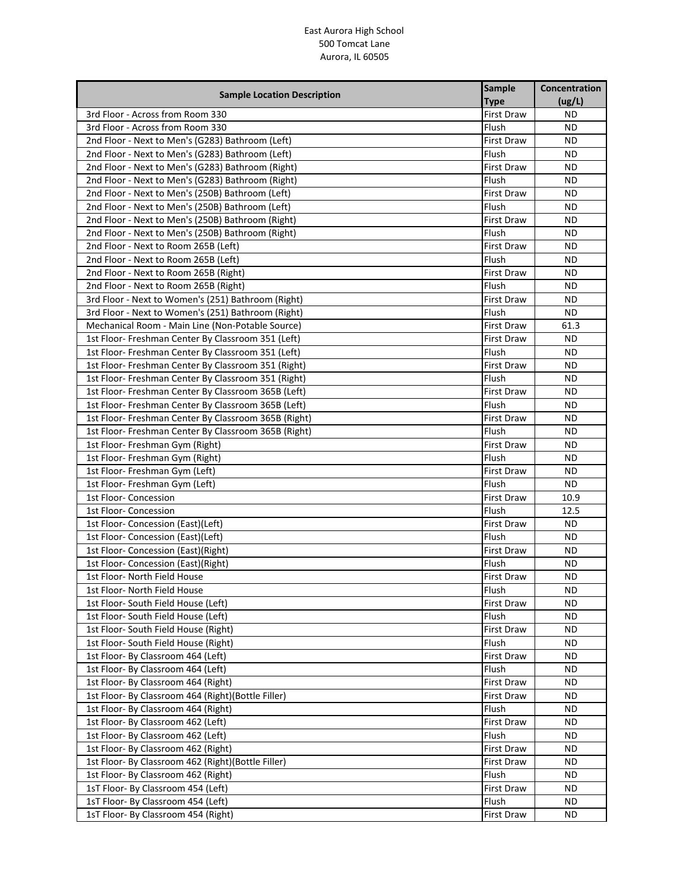| <b>Type</b><br>(ug/L)<br>3rd Floor - Across from Room 330<br>First Draw<br><b>ND</b><br>3rd Floor - Across from Room 330<br><b>ND</b><br>Flush<br>2nd Floor - Next to Men's (G283) Bathroom (Left)<br>First Draw<br>ND<br>2nd Floor - Next to Men's (G283) Bathroom (Left)<br><b>ND</b><br>Flush<br>2nd Floor - Next to Men's (G283) Bathroom (Right)<br><b>ND</b><br><b>First Draw</b><br>2nd Floor - Next to Men's (G283) Bathroom (Right)<br><b>ND</b><br>Flush<br>2nd Floor - Next to Men's (250B) Bathroom (Left)<br><b>ND</b><br>First Draw<br>2nd Floor - Next to Men's (250B) Bathroom (Left)<br>Flush<br><b>ND</b><br>2nd Floor - Next to Men's (250B) Bathroom (Right)<br><b>ND</b><br><b>First Draw</b><br>Flush<br>2nd Floor - Next to Men's (250B) Bathroom (Right)<br>ND.<br>2nd Floor - Next to Room 265B (Left)<br><b>ND</b><br>First Draw<br>Flush<br>2nd Floor - Next to Room 265B (Left)<br><b>ND</b><br>2nd Floor - Next to Room 265B (Right)<br><b>First Draw</b><br>ND.<br>2nd Floor - Next to Room 265B (Right)<br>Flush<br>ND<br>3rd Floor - Next to Women's (251) Bathroom (Right)<br>First Draw<br><b>ND</b><br>3rd Floor - Next to Women's (251) Bathroom (Right)<br>Flush<br><b>ND</b><br>Mechanical Room - Main Line (Non-Potable Source)<br>61.3<br><b>First Draw</b><br>1st Floor- Freshman Center By Classroom 351 (Left)<br><b>ND</b><br><b>First Draw</b><br>1st Floor- Freshman Center By Classroom 351 (Left)<br>Flush<br><b>ND</b><br>1st Floor- Freshman Center By Classroom 351 (Right)<br><b>ND</b><br><b>First Draw</b><br>Flush<br>1st Floor- Freshman Center By Classroom 351 (Right)<br><b>ND</b><br>1st Floor- Freshman Center By Classroom 365B (Left)<br><b>First Draw</b><br>ND<br>1st Floor- Freshman Center By Classroom 365B (Left)<br>Flush<br><b>ND</b><br>1st Floor- Freshman Center By Classroom 365B (Right)<br><b>First Draw</b><br><b>ND</b><br>Flush<br>1st Floor- Freshman Center By Classroom 365B (Right)<br><b>ND</b><br>1st Floor- Freshman Gym (Right)<br><b>First Draw</b><br><b>ND</b><br>1st Floor- Freshman Gym (Right)<br>Flush<br><b>ND</b><br>1st Floor- Freshman Gym (Left)<br>First Draw<br>ND<br>1st Floor- Freshman Gym (Left)<br>Flush<br><b>ND</b><br>1st Floor- Concession<br>10.9<br><b>First Draw</b><br>1st Floor- Concession<br>Flush<br>12.5<br><b>ND</b><br>1st Floor- Concession (East)(Left)<br><b>First Draw</b><br>Flush<br>1st Floor- Concession (East)(Left)<br><b>ND</b><br>1st Floor- Concession (East)(Right)<br>First Draw<br><b>ND</b><br>Flush<br>1st Floor- Concession (East)(Right)<br><b>ND</b><br>1st Floor- North Field House<br><b>First Draw</b><br>ND<br>Flush<br>1st Floor- North Field House<br>ND.<br>1st Floor- South Field House (Left)<br><b>First Draw</b><br>ND<br>1st Floor- South Field House (Left)<br>Flush<br>ND.<br>1st Floor-South Field House (Right)<br><b>ND</b><br><b>First Draw</b><br>1st Floor- South Field House (Right)<br>Flush<br>ND.<br>1st Floor- By Classroom 464 (Left)<br><b>ND</b><br><b>First Draw</b><br>1st Floor- By Classroom 464 (Left)<br>Flush<br>ND.<br>1st Floor- By Classroom 464 (Right)<br><b>First Draw</b><br>ND.<br>1st Floor- By Classroom 464 (Right)(Bottle Filler)<br><b>ND</b><br>First Draw<br>1st Floor- By Classroom 464 (Right)<br>Flush<br><b>ND</b><br>1st Floor- By Classroom 462 (Left)<br><b>First Draw</b><br>ND.<br>1st Floor- By Classroom 462 (Left)<br>Flush<br>ND.<br>1st Floor- By Classroom 462 (Right)<br>First Draw<br>ND.<br>1st Floor- By Classroom 462 (Right) (Bottle Filler)<br>First Draw<br>ND.<br>1st Floor- By Classroom 462 (Right)<br>Flush<br>ND.<br>1sT Floor- By Classroom 454 (Left)<br>ND<br>First Draw<br>1sT Floor- By Classroom 454 (Left)<br>Flush<br>ND. | <b>Sample Location Description</b>  | <b>Sample</b>     | Concentration |
|----------------------------------------------------------------------------------------------------------------------------------------------------------------------------------------------------------------------------------------------------------------------------------------------------------------------------------------------------------------------------------------------------------------------------------------------------------------------------------------------------------------------------------------------------------------------------------------------------------------------------------------------------------------------------------------------------------------------------------------------------------------------------------------------------------------------------------------------------------------------------------------------------------------------------------------------------------------------------------------------------------------------------------------------------------------------------------------------------------------------------------------------------------------------------------------------------------------------------------------------------------------------------------------------------------------------------------------------------------------------------------------------------------------------------------------------------------------------------------------------------------------------------------------------------------------------------------------------------------------------------------------------------------------------------------------------------------------------------------------------------------------------------------------------------------------------------------------------------------------------------------------------------------------------------------------------------------------------------------------------------------------------------------------------------------------------------------------------------------------------------------------------------------------------------------------------------------------------------------------------------------------------------------------------------------------------------------------------------------------------------------------------------------------------------------------------------------------------------------------------------------------------------------------------------------------------------------------------------------------------------------------------------------------------------------------------------------------------------------------------------------------------------------------------------------------------------------------------------------------------------------------------------------------------------------------------------------------------------------------------------------------------------------------------------------------------------------------------------------------------------------------------------------------------------------------------------------------------------------------------------------------------------------------------------------------------------------------------------------------------------------------------------------------------------------------------------------------------------------------------------------------------------------------------------------------------------------------------------------------------------------------------------------------------------------------------------------------------------------------------------------------|-------------------------------------|-------------------|---------------|
|                                                                                                                                                                                                                                                                                                                                                                                                                                                                                                                                                                                                                                                                                                                                                                                                                                                                                                                                                                                                                                                                                                                                                                                                                                                                                                                                                                                                                                                                                                                                                                                                                                                                                                                                                                                                                                                                                                                                                                                                                                                                                                                                                                                                                                                                                                                                                                                                                                                                                                                                                                                                                                                                                                                                                                                                                                                                                                                                                                                                                                                                                                                                                                                                                                                                                                                                                                                                                                                                                                                                                                                                                                                                                                                                                                |                                     |                   |               |
|                                                                                                                                                                                                                                                                                                                                                                                                                                                                                                                                                                                                                                                                                                                                                                                                                                                                                                                                                                                                                                                                                                                                                                                                                                                                                                                                                                                                                                                                                                                                                                                                                                                                                                                                                                                                                                                                                                                                                                                                                                                                                                                                                                                                                                                                                                                                                                                                                                                                                                                                                                                                                                                                                                                                                                                                                                                                                                                                                                                                                                                                                                                                                                                                                                                                                                                                                                                                                                                                                                                                                                                                                                                                                                                                                                |                                     |                   |               |
|                                                                                                                                                                                                                                                                                                                                                                                                                                                                                                                                                                                                                                                                                                                                                                                                                                                                                                                                                                                                                                                                                                                                                                                                                                                                                                                                                                                                                                                                                                                                                                                                                                                                                                                                                                                                                                                                                                                                                                                                                                                                                                                                                                                                                                                                                                                                                                                                                                                                                                                                                                                                                                                                                                                                                                                                                                                                                                                                                                                                                                                                                                                                                                                                                                                                                                                                                                                                                                                                                                                                                                                                                                                                                                                                                                |                                     |                   |               |
|                                                                                                                                                                                                                                                                                                                                                                                                                                                                                                                                                                                                                                                                                                                                                                                                                                                                                                                                                                                                                                                                                                                                                                                                                                                                                                                                                                                                                                                                                                                                                                                                                                                                                                                                                                                                                                                                                                                                                                                                                                                                                                                                                                                                                                                                                                                                                                                                                                                                                                                                                                                                                                                                                                                                                                                                                                                                                                                                                                                                                                                                                                                                                                                                                                                                                                                                                                                                                                                                                                                                                                                                                                                                                                                                                                |                                     |                   |               |
|                                                                                                                                                                                                                                                                                                                                                                                                                                                                                                                                                                                                                                                                                                                                                                                                                                                                                                                                                                                                                                                                                                                                                                                                                                                                                                                                                                                                                                                                                                                                                                                                                                                                                                                                                                                                                                                                                                                                                                                                                                                                                                                                                                                                                                                                                                                                                                                                                                                                                                                                                                                                                                                                                                                                                                                                                                                                                                                                                                                                                                                                                                                                                                                                                                                                                                                                                                                                                                                                                                                                                                                                                                                                                                                                                                |                                     |                   |               |
|                                                                                                                                                                                                                                                                                                                                                                                                                                                                                                                                                                                                                                                                                                                                                                                                                                                                                                                                                                                                                                                                                                                                                                                                                                                                                                                                                                                                                                                                                                                                                                                                                                                                                                                                                                                                                                                                                                                                                                                                                                                                                                                                                                                                                                                                                                                                                                                                                                                                                                                                                                                                                                                                                                                                                                                                                                                                                                                                                                                                                                                                                                                                                                                                                                                                                                                                                                                                                                                                                                                                                                                                                                                                                                                                                                |                                     |                   |               |
|                                                                                                                                                                                                                                                                                                                                                                                                                                                                                                                                                                                                                                                                                                                                                                                                                                                                                                                                                                                                                                                                                                                                                                                                                                                                                                                                                                                                                                                                                                                                                                                                                                                                                                                                                                                                                                                                                                                                                                                                                                                                                                                                                                                                                                                                                                                                                                                                                                                                                                                                                                                                                                                                                                                                                                                                                                                                                                                                                                                                                                                                                                                                                                                                                                                                                                                                                                                                                                                                                                                                                                                                                                                                                                                                                                |                                     |                   |               |
|                                                                                                                                                                                                                                                                                                                                                                                                                                                                                                                                                                                                                                                                                                                                                                                                                                                                                                                                                                                                                                                                                                                                                                                                                                                                                                                                                                                                                                                                                                                                                                                                                                                                                                                                                                                                                                                                                                                                                                                                                                                                                                                                                                                                                                                                                                                                                                                                                                                                                                                                                                                                                                                                                                                                                                                                                                                                                                                                                                                                                                                                                                                                                                                                                                                                                                                                                                                                                                                                                                                                                                                                                                                                                                                                                                |                                     |                   |               |
|                                                                                                                                                                                                                                                                                                                                                                                                                                                                                                                                                                                                                                                                                                                                                                                                                                                                                                                                                                                                                                                                                                                                                                                                                                                                                                                                                                                                                                                                                                                                                                                                                                                                                                                                                                                                                                                                                                                                                                                                                                                                                                                                                                                                                                                                                                                                                                                                                                                                                                                                                                                                                                                                                                                                                                                                                                                                                                                                                                                                                                                                                                                                                                                                                                                                                                                                                                                                                                                                                                                                                                                                                                                                                                                                                                |                                     |                   |               |
|                                                                                                                                                                                                                                                                                                                                                                                                                                                                                                                                                                                                                                                                                                                                                                                                                                                                                                                                                                                                                                                                                                                                                                                                                                                                                                                                                                                                                                                                                                                                                                                                                                                                                                                                                                                                                                                                                                                                                                                                                                                                                                                                                                                                                                                                                                                                                                                                                                                                                                                                                                                                                                                                                                                                                                                                                                                                                                                                                                                                                                                                                                                                                                                                                                                                                                                                                                                                                                                                                                                                                                                                                                                                                                                                                                |                                     |                   |               |
|                                                                                                                                                                                                                                                                                                                                                                                                                                                                                                                                                                                                                                                                                                                                                                                                                                                                                                                                                                                                                                                                                                                                                                                                                                                                                                                                                                                                                                                                                                                                                                                                                                                                                                                                                                                                                                                                                                                                                                                                                                                                                                                                                                                                                                                                                                                                                                                                                                                                                                                                                                                                                                                                                                                                                                                                                                                                                                                                                                                                                                                                                                                                                                                                                                                                                                                                                                                                                                                                                                                                                                                                                                                                                                                                                                |                                     |                   |               |
|                                                                                                                                                                                                                                                                                                                                                                                                                                                                                                                                                                                                                                                                                                                                                                                                                                                                                                                                                                                                                                                                                                                                                                                                                                                                                                                                                                                                                                                                                                                                                                                                                                                                                                                                                                                                                                                                                                                                                                                                                                                                                                                                                                                                                                                                                                                                                                                                                                                                                                                                                                                                                                                                                                                                                                                                                                                                                                                                                                                                                                                                                                                                                                                                                                                                                                                                                                                                                                                                                                                                                                                                                                                                                                                                                                |                                     |                   |               |
|                                                                                                                                                                                                                                                                                                                                                                                                                                                                                                                                                                                                                                                                                                                                                                                                                                                                                                                                                                                                                                                                                                                                                                                                                                                                                                                                                                                                                                                                                                                                                                                                                                                                                                                                                                                                                                                                                                                                                                                                                                                                                                                                                                                                                                                                                                                                                                                                                                                                                                                                                                                                                                                                                                                                                                                                                                                                                                                                                                                                                                                                                                                                                                                                                                                                                                                                                                                                                                                                                                                                                                                                                                                                                                                                                                |                                     |                   |               |
|                                                                                                                                                                                                                                                                                                                                                                                                                                                                                                                                                                                                                                                                                                                                                                                                                                                                                                                                                                                                                                                                                                                                                                                                                                                                                                                                                                                                                                                                                                                                                                                                                                                                                                                                                                                                                                                                                                                                                                                                                                                                                                                                                                                                                                                                                                                                                                                                                                                                                                                                                                                                                                                                                                                                                                                                                                                                                                                                                                                                                                                                                                                                                                                                                                                                                                                                                                                                                                                                                                                                                                                                                                                                                                                                                                |                                     |                   |               |
|                                                                                                                                                                                                                                                                                                                                                                                                                                                                                                                                                                                                                                                                                                                                                                                                                                                                                                                                                                                                                                                                                                                                                                                                                                                                                                                                                                                                                                                                                                                                                                                                                                                                                                                                                                                                                                                                                                                                                                                                                                                                                                                                                                                                                                                                                                                                                                                                                                                                                                                                                                                                                                                                                                                                                                                                                                                                                                                                                                                                                                                                                                                                                                                                                                                                                                                                                                                                                                                                                                                                                                                                                                                                                                                                                                |                                     |                   |               |
|                                                                                                                                                                                                                                                                                                                                                                                                                                                                                                                                                                                                                                                                                                                                                                                                                                                                                                                                                                                                                                                                                                                                                                                                                                                                                                                                                                                                                                                                                                                                                                                                                                                                                                                                                                                                                                                                                                                                                                                                                                                                                                                                                                                                                                                                                                                                                                                                                                                                                                                                                                                                                                                                                                                                                                                                                                                                                                                                                                                                                                                                                                                                                                                                                                                                                                                                                                                                                                                                                                                                                                                                                                                                                                                                                                |                                     |                   |               |
|                                                                                                                                                                                                                                                                                                                                                                                                                                                                                                                                                                                                                                                                                                                                                                                                                                                                                                                                                                                                                                                                                                                                                                                                                                                                                                                                                                                                                                                                                                                                                                                                                                                                                                                                                                                                                                                                                                                                                                                                                                                                                                                                                                                                                                                                                                                                                                                                                                                                                                                                                                                                                                                                                                                                                                                                                                                                                                                                                                                                                                                                                                                                                                                                                                                                                                                                                                                                                                                                                                                                                                                                                                                                                                                                                                |                                     |                   |               |
|                                                                                                                                                                                                                                                                                                                                                                                                                                                                                                                                                                                                                                                                                                                                                                                                                                                                                                                                                                                                                                                                                                                                                                                                                                                                                                                                                                                                                                                                                                                                                                                                                                                                                                                                                                                                                                                                                                                                                                                                                                                                                                                                                                                                                                                                                                                                                                                                                                                                                                                                                                                                                                                                                                                                                                                                                                                                                                                                                                                                                                                                                                                                                                                                                                                                                                                                                                                                                                                                                                                                                                                                                                                                                                                                                                |                                     |                   |               |
|                                                                                                                                                                                                                                                                                                                                                                                                                                                                                                                                                                                                                                                                                                                                                                                                                                                                                                                                                                                                                                                                                                                                                                                                                                                                                                                                                                                                                                                                                                                                                                                                                                                                                                                                                                                                                                                                                                                                                                                                                                                                                                                                                                                                                                                                                                                                                                                                                                                                                                                                                                                                                                                                                                                                                                                                                                                                                                                                                                                                                                                                                                                                                                                                                                                                                                                                                                                                                                                                                                                                                                                                                                                                                                                                                                |                                     |                   |               |
|                                                                                                                                                                                                                                                                                                                                                                                                                                                                                                                                                                                                                                                                                                                                                                                                                                                                                                                                                                                                                                                                                                                                                                                                                                                                                                                                                                                                                                                                                                                                                                                                                                                                                                                                                                                                                                                                                                                                                                                                                                                                                                                                                                                                                                                                                                                                                                                                                                                                                                                                                                                                                                                                                                                                                                                                                                                                                                                                                                                                                                                                                                                                                                                                                                                                                                                                                                                                                                                                                                                                                                                                                                                                                                                                                                |                                     |                   |               |
|                                                                                                                                                                                                                                                                                                                                                                                                                                                                                                                                                                                                                                                                                                                                                                                                                                                                                                                                                                                                                                                                                                                                                                                                                                                                                                                                                                                                                                                                                                                                                                                                                                                                                                                                                                                                                                                                                                                                                                                                                                                                                                                                                                                                                                                                                                                                                                                                                                                                                                                                                                                                                                                                                                                                                                                                                                                                                                                                                                                                                                                                                                                                                                                                                                                                                                                                                                                                                                                                                                                                                                                                                                                                                                                                                                |                                     |                   |               |
|                                                                                                                                                                                                                                                                                                                                                                                                                                                                                                                                                                                                                                                                                                                                                                                                                                                                                                                                                                                                                                                                                                                                                                                                                                                                                                                                                                                                                                                                                                                                                                                                                                                                                                                                                                                                                                                                                                                                                                                                                                                                                                                                                                                                                                                                                                                                                                                                                                                                                                                                                                                                                                                                                                                                                                                                                                                                                                                                                                                                                                                                                                                                                                                                                                                                                                                                                                                                                                                                                                                                                                                                                                                                                                                                                                |                                     |                   |               |
|                                                                                                                                                                                                                                                                                                                                                                                                                                                                                                                                                                                                                                                                                                                                                                                                                                                                                                                                                                                                                                                                                                                                                                                                                                                                                                                                                                                                                                                                                                                                                                                                                                                                                                                                                                                                                                                                                                                                                                                                                                                                                                                                                                                                                                                                                                                                                                                                                                                                                                                                                                                                                                                                                                                                                                                                                                                                                                                                                                                                                                                                                                                                                                                                                                                                                                                                                                                                                                                                                                                                                                                                                                                                                                                                                                |                                     |                   |               |
|                                                                                                                                                                                                                                                                                                                                                                                                                                                                                                                                                                                                                                                                                                                                                                                                                                                                                                                                                                                                                                                                                                                                                                                                                                                                                                                                                                                                                                                                                                                                                                                                                                                                                                                                                                                                                                                                                                                                                                                                                                                                                                                                                                                                                                                                                                                                                                                                                                                                                                                                                                                                                                                                                                                                                                                                                                                                                                                                                                                                                                                                                                                                                                                                                                                                                                                                                                                                                                                                                                                                                                                                                                                                                                                                                                |                                     |                   |               |
|                                                                                                                                                                                                                                                                                                                                                                                                                                                                                                                                                                                                                                                                                                                                                                                                                                                                                                                                                                                                                                                                                                                                                                                                                                                                                                                                                                                                                                                                                                                                                                                                                                                                                                                                                                                                                                                                                                                                                                                                                                                                                                                                                                                                                                                                                                                                                                                                                                                                                                                                                                                                                                                                                                                                                                                                                                                                                                                                                                                                                                                                                                                                                                                                                                                                                                                                                                                                                                                                                                                                                                                                                                                                                                                                                                |                                     |                   |               |
|                                                                                                                                                                                                                                                                                                                                                                                                                                                                                                                                                                                                                                                                                                                                                                                                                                                                                                                                                                                                                                                                                                                                                                                                                                                                                                                                                                                                                                                                                                                                                                                                                                                                                                                                                                                                                                                                                                                                                                                                                                                                                                                                                                                                                                                                                                                                                                                                                                                                                                                                                                                                                                                                                                                                                                                                                                                                                                                                                                                                                                                                                                                                                                                                                                                                                                                                                                                                                                                                                                                                                                                                                                                                                                                                                                |                                     |                   |               |
|                                                                                                                                                                                                                                                                                                                                                                                                                                                                                                                                                                                                                                                                                                                                                                                                                                                                                                                                                                                                                                                                                                                                                                                                                                                                                                                                                                                                                                                                                                                                                                                                                                                                                                                                                                                                                                                                                                                                                                                                                                                                                                                                                                                                                                                                                                                                                                                                                                                                                                                                                                                                                                                                                                                                                                                                                                                                                                                                                                                                                                                                                                                                                                                                                                                                                                                                                                                                                                                                                                                                                                                                                                                                                                                                                                |                                     |                   |               |
|                                                                                                                                                                                                                                                                                                                                                                                                                                                                                                                                                                                                                                                                                                                                                                                                                                                                                                                                                                                                                                                                                                                                                                                                                                                                                                                                                                                                                                                                                                                                                                                                                                                                                                                                                                                                                                                                                                                                                                                                                                                                                                                                                                                                                                                                                                                                                                                                                                                                                                                                                                                                                                                                                                                                                                                                                                                                                                                                                                                                                                                                                                                                                                                                                                                                                                                                                                                                                                                                                                                                                                                                                                                                                                                                                                |                                     |                   |               |
|                                                                                                                                                                                                                                                                                                                                                                                                                                                                                                                                                                                                                                                                                                                                                                                                                                                                                                                                                                                                                                                                                                                                                                                                                                                                                                                                                                                                                                                                                                                                                                                                                                                                                                                                                                                                                                                                                                                                                                                                                                                                                                                                                                                                                                                                                                                                                                                                                                                                                                                                                                                                                                                                                                                                                                                                                                                                                                                                                                                                                                                                                                                                                                                                                                                                                                                                                                                                                                                                                                                                                                                                                                                                                                                                                                |                                     |                   |               |
|                                                                                                                                                                                                                                                                                                                                                                                                                                                                                                                                                                                                                                                                                                                                                                                                                                                                                                                                                                                                                                                                                                                                                                                                                                                                                                                                                                                                                                                                                                                                                                                                                                                                                                                                                                                                                                                                                                                                                                                                                                                                                                                                                                                                                                                                                                                                                                                                                                                                                                                                                                                                                                                                                                                                                                                                                                                                                                                                                                                                                                                                                                                                                                                                                                                                                                                                                                                                                                                                                                                                                                                                                                                                                                                                                                |                                     |                   |               |
|                                                                                                                                                                                                                                                                                                                                                                                                                                                                                                                                                                                                                                                                                                                                                                                                                                                                                                                                                                                                                                                                                                                                                                                                                                                                                                                                                                                                                                                                                                                                                                                                                                                                                                                                                                                                                                                                                                                                                                                                                                                                                                                                                                                                                                                                                                                                                                                                                                                                                                                                                                                                                                                                                                                                                                                                                                                                                                                                                                                                                                                                                                                                                                                                                                                                                                                                                                                                                                                                                                                                                                                                                                                                                                                                                                |                                     |                   |               |
|                                                                                                                                                                                                                                                                                                                                                                                                                                                                                                                                                                                                                                                                                                                                                                                                                                                                                                                                                                                                                                                                                                                                                                                                                                                                                                                                                                                                                                                                                                                                                                                                                                                                                                                                                                                                                                                                                                                                                                                                                                                                                                                                                                                                                                                                                                                                                                                                                                                                                                                                                                                                                                                                                                                                                                                                                                                                                                                                                                                                                                                                                                                                                                                                                                                                                                                                                                                                                                                                                                                                                                                                                                                                                                                                                                |                                     |                   |               |
|                                                                                                                                                                                                                                                                                                                                                                                                                                                                                                                                                                                                                                                                                                                                                                                                                                                                                                                                                                                                                                                                                                                                                                                                                                                                                                                                                                                                                                                                                                                                                                                                                                                                                                                                                                                                                                                                                                                                                                                                                                                                                                                                                                                                                                                                                                                                                                                                                                                                                                                                                                                                                                                                                                                                                                                                                                                                                                                                                                                                                                                                                                                                                                                                                                                                                                                                                                                                                                                                                                                                                                                                                                                                                                                                                                |                                     |                   |               |
|                                                                                                                                                                                                                                                                                                                                                                                                                                                                                                                                                                                                                                                                                                                                                                                                                                                                                                                                                                                                                                                                                                                                                                                                                                                                                                                                                                                                                                                                                                                                                                                                                                                                                                                                                                                                                                                                                                                                                                                                                                                                                                                                                                                                                                                                                                                                                                                                                                                                                                                                                                                                                                                                                                                                                                                                                                                                                                                                                                                                                                                                                                                                                                                                                                                                                                                                                                                                                                                                                                                                                                                                                                                                                                                                                                |                                     |                   |               |
|                                                                                                                                                                                                                                                                                                                                                                                                                                                                                                                                                                                                                                                                                                                                                                                                                                                                                                                                                                                                                                                                                                                                                                                                                                                                                                                                                                                                                                                                                                                                                                                                                                                                                                                                                                                                                                                                                                                                                                                                                                                                                                                                                                                                                                                                                                                                                                                                                                                                                                                                                                                                                                                                                                                                                                                                                                                                                                                                                                                                                                                                                                                                                                                                                                                                                                                                                                                                                                                                                                                                                                                                                                                                                                                                                                |                                     |                   |               |
|                                                                                                                                                                                                                                                                                                                                                                                                                                                                                                                                                                                                                                                                                                                                                                                                                                                                                                                                                                                                                                                                                                                                                                                                                                                                                                                                                                                                                                                                                                                                                                                                                                                                                                                                                                                                                                                                                                                                                                                                                                                                                                                                                                                                                                                                                                                                                                                                                                                                                                                                                                                                                                                                                                                                                                                                                                                                                                                                                                                                                                                                                                                                                                                                                                                                                                                                                                                                                                                                                                                                                                                                                                                                                                                                                                |                                     |                   |               |
|                                                                                                                                                                                                                                                                                                                                                                                                                                                                                                                                                                                                                                                                                                                                                                                                                                                                                                                                                                                                                                                                                                                                                                                                                                                                                                                                                                                                                                                                                                                                                                                                                                                                                                                                                                                                                                                                                                                                                                                                                                                                                                                                                                                                                                                                                                                                                                                                                                                                                                                                                                                                                                                                                                                                                                                                                                                                                                                                                                                                                                                                                                                                                                                                                                                                                                                                                                                                                                                                                                                                                                                                                                                                                                                                                                |                                     |                   |               |
|                                                                                                                                                                                                                                                                                                                                                                                                                                                                                                                                                                                                                                                                                                                                                                                                                                                                                                                                                                                                                                                                                                                                                                                                                                                                                                                                                                                                                                                                                                                                                                                                                                                                                                                                                                                                                                                                                                                                                                                                                                                                                                                                                                                                                                                                                                                                                                                                                                                                                                                                                                                                                                                                                                                                                                                                                                                                                                                                                                                                                                                                                                                                                                                                                                                                                                                                                                                                                                                                                                                                                                                                                                                                                                                                                                |                                     |                   |               |
|                                                                                                                                                                                                                                                                                                                                                                                                                                                                                                                                                                                                                                                                                                                                                                                                                                                                                                                                                                                                                                                                                                                                                                                                                                                                                                                                                                                                                                                                                                                                                                                                                                                                                                                                                                                                                                                                                                                                                                                                                                                                                                                                                                                                                                                                                                                                                                                                                                                                                                                                                                                                                                                                                                                                                                                                                                                                                                                                                                                                                                                                                                                                                                                                                                                                                                                                                                                                                                                                                                                                                                                                                                                                                                                                                                |                                     |                   |               |
|                                                                                                                                                                                                                                                                                                                                                                                                                                                                                                                                                                                                                                                                                                                                                                                                                                                                                                                                                                                                                                                                                                                                                                                                                                                                                                                                                                                                                                                                                                                                                                                                                                                                                                                                                                                                                                                                                                                                                                                                                                                                                                                                                                                                                                                                                                                                                                                                                                                                                                                                                                                                                                                                                                                                                                                                                                                                                                                                                                                                                                                                                                                                                                                                                                                                                                                                                                                                                                                                                                                                                                                                                                                                                                                                                                |                                     |                   |               |
|                                                                                                                                                                                                                                                                                                                                                                                                                                                                                                                                                                                                                                                                                                                                                                                                                                                                                                                                                                                                                                                                                                                                                                                                                                                                                                                                                                                                                                                                                                                                                                                                                                                                                                                                                                                                                                                                                                                                                                                                                                                                                                                                                                                                                                                                                                                                                                                                                                                                                                                                                                                                                                                                                                                                                                                                                                                                                                                                                                                                                                                                                                                                                                                                                                                                                                                                                                                                                                                                                                                                                                                                                                                                                                                                                                |                                     |                   |               |
|                                                                                                                                                                                                                                                                                                                                                                                                                                                                                                                                                                                                                                                                                                                                                                                                                                                                                                                                                                                                                                                                                                                                                                                                                                                                                                                                                                                                                                                                                                                                                                                                                                                                                                                                                                                                                                                                                                                                                                                                                                                                                                                                                                                                                                                                                                                                                                                                                                                                                                                                                                                                                                                                                                                                                                                                                                                                                                                                                                                                                                                                                                                                                                                                                                                                                                                                                                                                                                                                                                                                                                                                                                                                                                                                                                |                                     |                   |               |
|                                                                                                                                                                                                                                                                                                                                                                                                                                                                                                                                                                                                                                                                                                                                                                                                                                                                                                                                                                                                                                                                                                                                                                                                                                                                                                                                                                                                                                                                                                                                                                                                                                                                                                                                                                                                                                                                                                                                                                                                                                                                                                                                                                                                                                                                                                                                                                                                                                                                                                                                                                                                                                                                                                                                                                                                                                                                                                                                                                                                                                                                                                                                                                                                                                                                                                                                                                                                                                                                                                                                                                                                                                                                                                                                                                |                                     |                   |               |
|                                                                                                                                                                                                                                                                                                                                                                                                                                                                                                                                                                                                                                                                                                                                                                                                                                                                                                                                                                                                                                                                                                                                                                                                                                                                                                                                                                                                                                                                                                                                                                                                                                                                                                                                                                                                                                                                                                                                                                                                                                                                                                                                                                                                                                                                                                                                                                                                                                                                                                                                                                                                                                                                                                                                                                                                                                                                                                                                                                                                                                                                                                                                                                                                                                                                                                                                                                                                                                                                                                                                                                                                                                                                                                                                                                |                                     |                   |               |
|                                                                                                                                                                                                                                                                                                                                                                                                                                                                                                                                                                                                                                                                                                                                                                                                                                                                                                                                                                                                                                                                                                                                                                                                                                                                                                                                                                                                                                                                                                                                                                                                                                                                                                                                                                                                                                                                                                                                                                                                                                                                                                                                                                                                                                                                                                                                                                                                                                                                                                                                                                                                                                                                                                                                                                                                                                                                                                                                                                                                                                                                                                                                                                                                                                                                                                                                                                                                                                                                                                                                                                                                                                                                                                                                                                |                                     |                   |               |
|                                                                                                                                                                                                                                                                                                                                                                                                                                                                                                                                                                                                                                                                                                                                                                                                                                                                                                                                                                                                                                                                                                                                                                                                                                                                                                                                                                                                                                                                                                                                                                                                                                                                                                                                                                                                                                                                                                                                                                                                                                                                                                                                                                                                                                                                                                                                                                                                                                                                                                                                                                                                                                                                                                                                                                                                                                                                                                                                                                                                                                                                                                                                                                                                                                                                                                                                                                                                                                                                                                                                                                                                                                                                                                                                                                |                                     |                   |               |
|                                                                                                                                                                                                                                                                                                                                                                                                                                                                                                                                                                                                                                                                                                                                                                                                                                                                                                                                                                                                                                                                                                                                                                                                                                                                                                                                                                                                                                                                                                                                                                                                                                                                                                                                                                                                                                                                                                                                                                                                                                                                                                                                                                                                                                                                                                                                                                                                                                                                                                                                                                                                                                                                                                                                                                                                                                                                                                                                                                                                                                                                                                                                                                                                                                                                                                                                                                                                                                                                                                                                                                                                                                                                                                                                                                |                                     |                   |               |
|                                                                                                                                                                                                                                                                                                                                                                                                                                                                                                                                                                                                                                                                                                                                                                                                                                                                                                                                                                                                                                                                                                                                                                                                                                                                                                                                                                                                                                                                                                                                                                                                                                                                                                                                                                                                                                                                                                                                                                                                                                                                                                                                                                                                                                                                                                                                                                                                                                                                                                                                                                                                                                                                                                                                                                                                                                                                                                                                                                                                                                                                                                                                                                                                                                                                                                                                                                                                                                                                                                                                                                                                                                                                                                                                                                |                                     |                   |               |
|                                                                                                                                                                                                                                                                                                                                                                                                                                                                                                                                                                                                                                                                                                                                                                                                                                                                                                                                                                                                                                                                                                                                                                                                                                                                                                                                                                                                                                                                                                                                                                                                                                                                                                                                                                                                                                                                                                                                                                                                                                                                                                                                                                                                                                                                                                                                                                                                                                                                                                                                                                                                                                                                                                                                                                                                                                                                                                                                                                                                                                                                                                                                                                                                                                                                                                                                                                                                                                                                                                                                                                                                                                                                                                                                                                |                                     |                   |               |
|                                                                                                                                                                                                                                                                                                                                                                                                                                                                                                                                                                                                                                                                                                                                                                                                                                                                                                                                                                                                                                                                                                                                                                                                                                                                                                                                                                                                                                                                                                                                                                                                                                                                                                                                                                                                                                                                                                                                                                                                                                                                                                                                                                                                                                                                                                                                                                                                                                                                                                                                                                                                                                                                                                                                                                                                                                                                                                                                                                                                                                                                                                                                                                                                                                                                                                                                                                                                                                                                                                                                                                                                                                                                                                                                                                |                                     |                   |               |
|                                                                                                                                                                                                                                                                                                                                                                                                                                                                                                                                                                                                                                                                                                                                                                                                                                                                                                                                                                                                                                                                                                                                                                                                                                                                                                                                                                                                                                                                                                                                                                                                                                                                                                                                                                                                                                                                                                                                                                                                                                                                                                                                                                                                                                                                                                                                                                                                                                                                                                                                                                                                                                                                                                                                                                                                                                                                                                                                                                                                                                                                                                                                                                                                                                                                                                                                                                                                                                                                                                                                                                                                                                                                                                                                                                |                                     |                   |               |
|                                                                                                                                                                                                                                                                                                                                                                                                                                                                                                                                                                                                                                                                                                                                                                                                                                                                                                                                                                                                                                                                                                                                                                                                                                                                                                                                                                                                                                                                                                                                                                                                                                                                                                                                                                                                                                                                                                                                                                                                                                                                                                                                                                                                                                                                                                                                                                                                                                                                                                                                                                                                                                                                                                                                                                                                                                                                                                                                                                                                                                                                                                                                                                                                                                                                                                                                                                                                                                                                                                                                                                                                                                                                                                                                                                |                                     |                   |               |
|                                                                                                                                                                                                                                                                                                                                                                                                                                                                                                                                                                                                                                                                                                                                                                                                                                                                                                                                                                                                                                                                                                                                                                                                                                                                                                                                                                                                                                                                                                                                                                                                                                                                                                                                                                                                                                                                                                                                                                                                                                                                                                                                                                                                                                                                                                                                                                                                                                                                                                                                                                                                                                                                                                                                                                                                                                                                                                                                                                                                                                                                                                                                                                                                                                                                                                                                                                                                                                                                                                                                                                                                                                                                                                                                                                |                                     |                   |               |
|                                                                                                                                                                                                                                                                                                                                                                                                                                                                                                                                                                                                                                                                                                                                                                                                                                                                                                                                                                                                                                                                                                                                                                                                                                                                                                                                                                                                                                                                                                                                                                                                                                                                                                                                                                                                                                                                                                                                                                                                                                                                                                                                                                                                                                                                                                                                                                                                                                                                                                                                                                                                                                                                                                                                                                                                                                                                                                                                                                                                                                                                                                                                                                                                                                                                                                                                                                                                                                                                                                                                                                                                                                                                                                                                                                |                                     |                   |               |
|                                                                                                                                                                                                                                                                                                                                                                                                                                                                                                                                                                                                                                                                                                                                                                                                                                                                                                                                                                                                                                                                                                                                                                                                                                                                                                                                                                                                                                                                                                                                                                                                                                                                                                                                                                                                                                                                                                                                                                                                                                                                                                                                                                                                                                                                                                                                                                                                                                                                                                                                                                                                                                                                                                                                                                                                                                                                                                                                                                                                                                                                                                                                                                                                                                                                                                                                                                                                                                                                                                                                                                                                                                                                                                                                                                | 1sT Floor- By Classroom 454 (Right) | <b>First Draw</b> | ND.           |